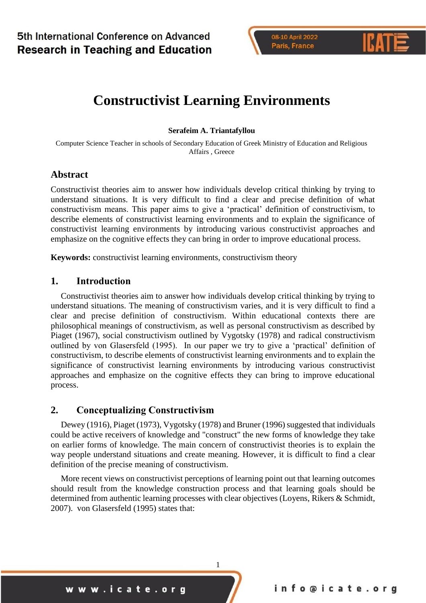# **Constructivist Learning Environments**

**Serafeim A. Triantafyllou**

Computer Science Teacher in schools of Secondary Education of Greek Ministry of Education and Religious Affairs , Greece

### **Abstract**

Constructivist theories aim to answer how individuals develop critical thinking by trying to understand situations. It is very difficult to find a clear and precise definition of what constructivism means. This paper aims to give a 'practical' definition of constructivism, to describe elements of constructivist learning environments and to explain the significance of constructivist learning environments by introducing various constructivist approaches and emphasize on the cognitive effects they can bring in order to improve educational process.

**Keywords:** constructivist learning environments, constructivism theory

### **1. Introduction**

Constructivist theories aim to answer how individuals develop critical thinking by trying to understand situations. The meaning of constructivism varies, and it is very difficult to find a clear and precise definition of constructivism. Within educational contexts there are philosophical meanings of constructivism, as well as personal constructivism as described by Piaget (1967), social constructivism outlined by Vygotsky (1978) and radical constructivism outlined by von Glasersfeld (1995). In our paper we try to give a 'practical' definition of constructivism, to describe elements of constructivist learning environments and to explain the significance of constructivist learning environments by introducing various constructivist approaches and emphasize on the cognitive effects they can bring to improve educational process.

### **2. Conceptualizing Constructivism**

Dewey (1916), Piaget (1973), Vygotsky (1978) and Bruner (1996) suggested that individuals could be active receivers of knowledge and "construct" the new forms of knowledge they take on earlier forms of knowledge. The main concern of constructivist theories is to explain the way people understand situations and create meaning. However, it is difficult to find a clear definition of the precise meaning of constructivism.

More recent views on constructivist perceptions of learning point out that learning outcomes should result from the knowledge construction process and that learning goals should be determined from authentic learning processes with clear objectives (Loyens, Rikers & Schmidt, 2007). von Glasersfeld (1995) states that:

1

www.icate.org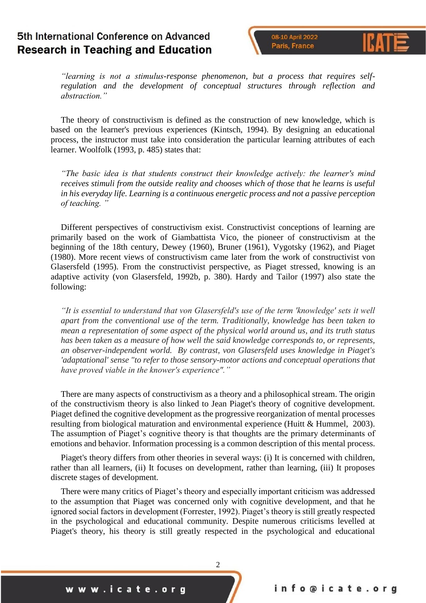08-10 April 2022 Paris, France

*"learning is not a stimulus-response phenomenon, but a process that requires selfregulation and the development of conceptual structures through reflection and abstraction."*

The theory of constructivism is defined as the construction of new knowledge, which is based on the learner's previous experiences (Kintsch, 1994). By designing an educational process, the instructor must take into consideration the particular learning attributes of each learner. Woolfolk (1993, p. 485) states that:

*"The basic idea is that students construct their knowledge actively: the learner's mind receives stimuli from the outside reality and chooses which of those that he learns is useful in his everyday life. Learning is a continuous energetic process and not a passive perception of teaching. "*

Different perspectives of constructivism exist. Constructivist conceptions of learning are primarily based on the work of Giambattista Vico, the pioneer of constructivism at the beginning of the 18th century, Dewey (1960), Bruner (1961), Vygotsky (1962), and Piaget (1980). More recent views of constructivism came later from the work of constructivist von Glasersfeld (1995). From the constructivist perspective, as Piaget stressed, knowing is an adaptive activity (von Glasersfeld, 1992b, p. 380). Hardy and Tailor (1997) also state the following:

*"It is essential to understand that von Glasersfeld's use of the term 'knowledge' sets it well apart from the conventional use of the term. Traditionally, knowledge has been taken to mean a representation of some aspect of the physical world around us, and its truth status has been taken as a measure of how well the said knowledge corresponds to, or represents, an observer-independent world. By contrast, von Glasersfeld uses knowledge in Piaget's 'adaptational' sense "to refer to those sensory-motor actions and conceptual operations that have proved viable in the knower's experience"."*

There are many aspects of constructivism as a theory and a philosophical stream. The origin of the constructivism theory is also linked to Jean Piaget's theory of cognitive development. Piaget defined the cognitive development as the progressive reorganization of mental processes resulting from biological maturation and environmental experience (Huitt & Hummel, 2003). The assumption of Piaget's cognitive theory is that thoughts are the primary determinants of emotions and behavior. Information processing is a common description of this mental process.

Piaget's theory differs from other theories in several ways: (i) It is concerned with children, rather than all learners, (ii) It focuses on development, rather than learning, (iii) It proposes discrete stages of development.

There were many critics of Piaget's theory and especially important criticism was addressed to the assumption that Piaget was concerned only with cognitive development, and that he ignored social factors in development (Forrester, 1992). Piaget's theory is still greatly respected in the psychological and educational community. Despite numerous criticisms levelled at Piaget's theory, his theory is still greatly respected in the psychological and educational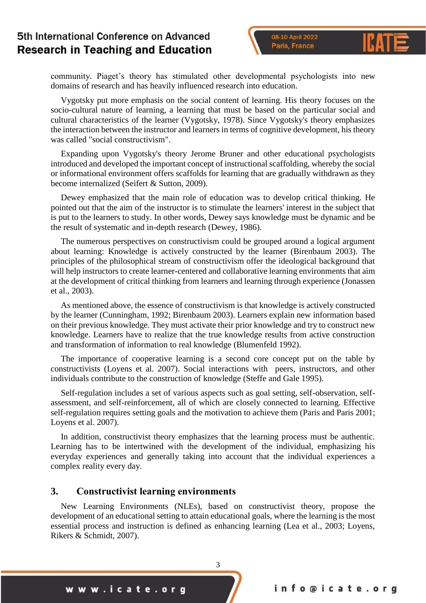08-10 April 2022 Paris, France

community. Piaget's theory has stimulated other developmental psychologists into new domains of research and has heavily influenced research into education.

Vygotsky put more emphasis on the social content of learning. His theory focuses on the socio-cultural nature of learning, a learning that must be based on the particular social and cultural characteristics of the learner (Vygotsky, 1978). Since Vygotsky's theory emphasizes the interaction between the instructor and learners in terms of cognitive development, his theory was called "social constructivism".

Expanding upon Vygotsky's theory Jerome Bruner and other educational psychologists introduced and developed the important concept of instructional scaffolding, whereby the social or informational environment offers scaffolds for learning that are gradually withdrawn as they become internalized (Seifert & Sutton, 2009).

Dewey emphasized that the main role of education was to develop critical thinking. He pointed out that the aim of the instructor is to stimulate the learners' interest in the subject that is put to the learners to study. In other words, Dewey says knowledge must be dynamic and be the result of systematic and in-depth research (Dewey, 1986).

The numerous perspectives on constructivism could be grouped around a logical argument about learning: Knowledge is actively constructed by the learner (Birenbaum 2003). The principles of the philosophical stream of constructivism offer the ideological background that will help instructors to create learner-centered and collaborative learning environments that aim at the development of critical thinking from learners and learning through experience (Jonassen et al., 2003).

As mentioned above, the essence of constructivism is that knowledge is actively constructed by the learner (Cunningham, 1992; Birenbaum 2003). Learners explain new information based on their previous knowledge. They must activate their prior knowledge and try to construct new knowledge. Learners have to realize that the true knowledge results from active construction and transformation of information to real knowledge (Blumenfeld 1992).

The importance of cooperative learning is a second core concept put on the table by constructivists (Loyens et al. 2007). Social interactions with peers, instructors, and other individuals contribute to the construction of knowledge (Steffe and Gale 1995).

Self-regulation includes a set of various aspects such as goal setting, self-observation, selfassessment, and self-reinforcement, all of which are closely connected to learning. Effective self-regulation requires setting goals and the motivation to achieve them (Paris and Paris 2001; Loyens et al. 2007).

In addition, constructivist theory emphasizes that the learning process must be authentic. Learning has to be intertwined with the development of the individual, emphasizing his everyday experiences and generally taking into account that the individual experiences a complex reality every day.

#### **3. Constructivist learning environments**

New Learning Environments (NLEs), based on constructivist theory, propose the development of an educational setting to attain educational goals, where the learning is the most essential process and instruction is defined as enhancing learning (Lea et al., 2003; Loyens, Rikers & Schmidt, 2007).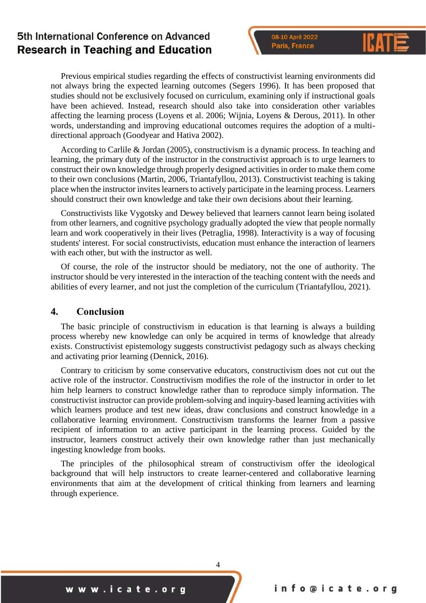08-10 April 2022 Paris, France

Previous empirical studies regarding the effects of constructivist learning environments did not always bring the expected learning outcomes (Segers 1996). It has been proposed that studies should not be exclusively focused on curriculum, examining only if instructional goals have been achieved. Instead, research should also take into consideration other variables affecting the learning process (Loyens et al. 2006; Wijnia, Loyens & Derous, 2011). In other words, understanding and improving educational outcomes requires the adoption of a multidirectional approach (Goodyear and Hativa 2002).

According to Carlile & Jordan (2005), constructivism is a dynamic process. In teaching and learning, the primary duty of the instructor in the constructivist approach is to urge learners to construct their own knowledge through properly designed activities in order to make them come to their own conclusions (Martin, 2006, Triantafyllou, 2013). Constructivist teaching is taking place when the instructor invites learners to actively participate in the learning process. Learners should construct their own knowledge and take their own decisions about their learning.

Constructivists like Vygotsky and Dewey believed that learners cannot learn being isolated from other learners, and cognitive psychology gradually adopted the view that people normally learn and work cooperatively in their lives (Petraglia, 1998). Interactivity is a way of focusing students' interest. For social constructivists, education must enhance the interaction of learners with each other, but with the instructor as well.

Of course, the role of the instructor should be mediatory, not the one of authority. The instructor should be very interested in the interaction of the teaching content with the needs and abilities of every learner, and not just the completion of the curriculum (Triantafyllou, 2021).

#### **4. Conclusion**

The basic principle of constructivism in education is that learning is always a building process whereby new knowledge can only be acquired in terms of knowledge that already exists. Constructivist epistemology suggests constructivist pedagogy such as always checking and activating prior learning (Dennick, 2016).

Contrary to criticism by some conservative educators, constructivism does not cut out the active role of the instructor. Constructivism modifies the role of the instructor in order to let him help learners to construct knowledge rather than to reproduce simply information. The constructivist instructor can provide problem-solving and inquiry-based learning activities with which learners produce and test new ideas, draw conclusions and construct knowledge in a collaborative learning environment. Constructivism transforms the learner from a passive recipient of information to an active participant in the learning process. Guided by the instructor, learners construct actively their own knowledge rather than just mechanically ingesting knowledge from books.

The principles of the philosophical stream of constructivism offer the ideological background that will help instructors to create learner-centered and collaborative learning environments that aim at the development of critical thinking from learners and learning through experience.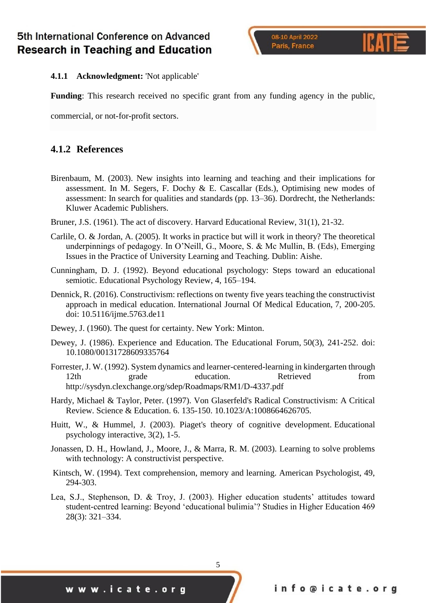#### **4.1.1 Acknowledgment:** 'Not applicable'

**Funding**: This research received no specific grant from any funding agency in the public,

commercial, or not-for-profit sectors.

### **4.1.2 References**

- Birenbaum, M. (2003). New insights into learning and teaching and their implications for assessment. In M. Segers, F. Dochy & E. Cascallar (Eds.), Optimising new modes of assessment: In search for qualities and standards (pp. 13–36). Dordrecht, the Netherlands: Kluwer Academic Publishers.
- Bruner, J.S. (1961). The act of discovery. Harvard Educational Review, 31(1), 21-32.
- Carlile, O. & Jordan, A. (2005). It works in practice but will it work in theory? The theoretical underpinnings of pedagogy. In O'Neill, G., Moore, S. & Mc Mullin, B. (Eds), Emerging Issues in the Practice of University Learning and Teaching. Dublin: Aishe.
- Cunningham, D. J. (1992). Beyond educational psychology: Steps toward an educational semiotic. Educational Psychology Review, 4, 165–194.
- Dennick, R. (2016). Constructivism: reflections on twenty five years teaching the constructivist approach in medical education. International Journal Of Medical Education, 7, 200-205. doi: 10.5116/ijme.5763.de11
- Dewey, J. (1960). The quest for certainty. New York: Minton.
- Dewey, J. (1986). Experience and Education. The Educational Forum, 50(3), 241-252. doi: 10.1080/00131728609335764
- Forrester, J. W. (1992). System dynamics and learner-centered-learning in kindergarten through 12th grade education. Retrieved from http://sysdyn.clexchange.org/sdep/Roadmaps/RM1/D-4337.pdf
- Hardy, Michael & Taylor, Peter. (1997). Von Glaserfeld's Radical Constructivism: A Critical Review. Science & Education. 6. 135-150. 10.1023/A:1008664626705.
- Huitt, W., & Hummel, J. (2003). Piaget's theory of cognitive development. Educational psychology interactive, 3(2), 1-5.
- Jonassen, D. H., Howland, J., Moore, J., & Marra, R. M. (2003). Learning to solve problems with technology: A constructivist perspective.
- Kintsch, W. (1994). Text comprehension, memory and learning. American Psychologist, 49, 294-303.
- Lea, S.J., Stephenson, D. & Troy, J. (2003). Higher education students' attitudes toward student-centred learning: Beyond 'educational bulimia'? Studies in Higher Education 469 28(3): 321–334.